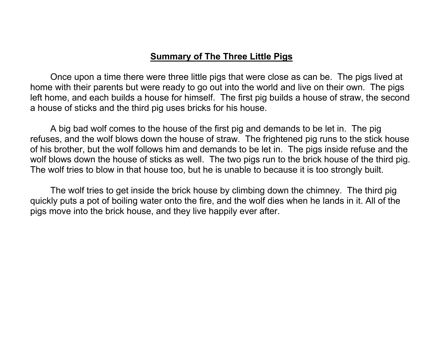## **Summary of The Three Little Pigs**

Once upon a time there were three little pigs that were close as can be. The pigs lived at home with their parents but were ready to go out into the world and live on their own. The pigs left home, and each builds a house for himself. The first pig builds a house of straw, the second a house of sticks and the third pig uses bricks for his house.

A big bad wolf comes to the house of the first pig and demands to be let in. The pig refuses, and the wolf blows down the house of straw. The frightened pig runs to the stick house of his brother, but the wolf follows him and demands to be let in. The pigs inside refuse and the wolf blows down the house of sticks as well. The two pigs run to the brick house of the third pig. The wolf tries to blow in that house too, but he is unable to because it is too strongly built.

The wolf tries to get inside the brick house by climbing down the chimney. The third pig quickly puts a pot of boiling water onto the fire, and the wolf dies when he lands in it. All of the pigs move into the brick house, and they live happily ever after.